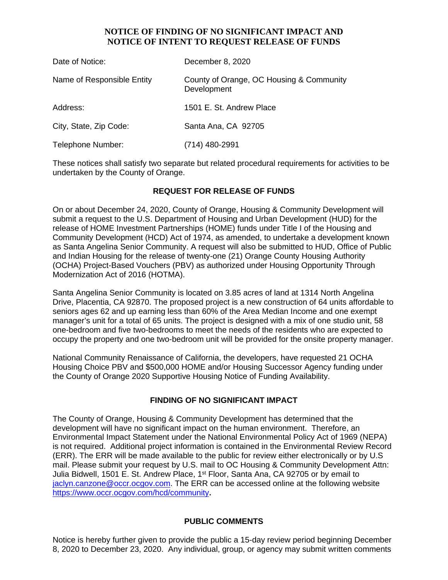## **NOTICE OF FINDING OF NO SIGNIFICANT IMPACT AND NOTICE OF INTENT TO REQUEST RELEASE OF FUNDS**

| Date of Notice:            | December 8, 2020                                        |
|----------------------------|---------------------------------------------------------|
| Name of Responsible Entity | County of Orange, OC Housing & Community<br>Development |
| Address:                   | 1501 E. St. Andrew Place                                |
| City, State, Zip Code:     | Santa Ana, CA 92705                                     |
| Telephone Number:          | $(714)$ 480-2991                                        |

These notices shall satisfy two separate but related procedural requirements for activities to be undertaken by the County of Orange.

### **REQUEST FOR RELEASE OF FUNDS**

On or about December 24, 2020, County of Orange, Housing & Community Development will submit a request to the U.S. Department of Housing and Urban Development (HUD) for the release of HOME Investment Partnerships (HOME) funds under Title I of the Housing and Community Development (HCD) Act of 1974, as amended, to undertake a development known as Santa Angelina Senior Community. A request will also be submitted to HUD, Office of Public and Indian Housing for the release of twenty-one (21) Orange County Housing Authority (OCHA) Project-Based Vouchers (PBV) as authorized under Housing Opportunity Through Modernization Act of 2016 (HOTMA).

Santa Angelina Senior Community is located on 3.85 acres of land at 1314 North Angelina Drive, Placentia, CA 92870. The proposed project is a new construction of 64 units affordable to seniors ages 62 and up earning less than 60% of the Area Median Income and one exempt manager's unit for a total of 65 units. The project is designed with a mix of one studio unit, 58 one-bedroom and five two-bedrooms to meet the needs of the residents who are expected to occupy the property and one two-bedroom unit will be provided for the onsite property manager.

National Community Renaissance of California, the developers, have requested 21 OCHA Housing Choice PBV and \$500,000 HOME and/or Housing Successor Agency funding under the County of Orange 2020 Supportive Housing Notice of Funding Availability.

### **FINDING OF NO SIGNIFICANT IMPACT**

The County of Orange, Housing & Community Development has determined that the development will have no significant impact on the human environment. Therefore, an Environmental Impact Statement under the National Environmental Policy Act of 1969 (NEPA) is not required. Additional project information is contained in the Environmental Review Record (ERR). The ERR will be made available to the public for review either electronically or by U.S mail. Please submit your request by U.S. mail to OC Housing & Community Development Attn: Julia Bidwell, 1501 E. St. Andrew Place, 1<sup>st</sup> Floor, Santa Ana, CA 92705 or by email to jaclyn.canzone@occr.ocgov.com. The ERR can be accessed online at the following website https://www.occr.ocgov.com/hcd/community**.**

### **PUBLIC COMMENTS**

Notice is hereby further given to provide the public a 15-day review period beginning December 8, 2020 to December 23, 2020. Any individual, group, or agency may submit written comments